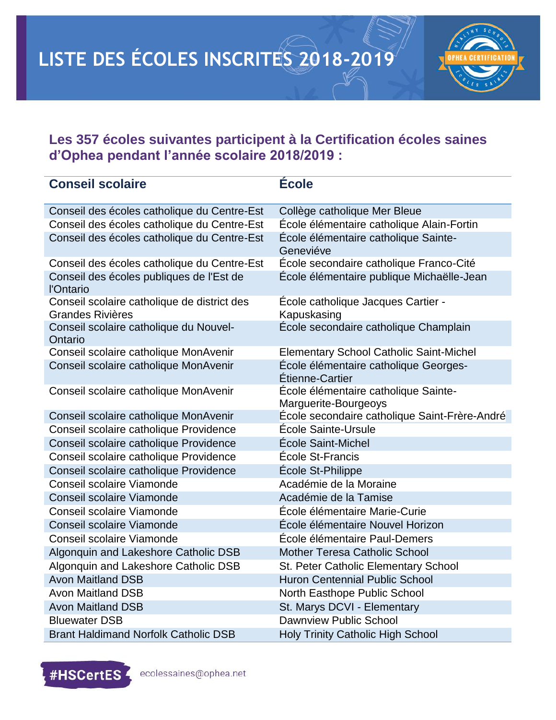

## **Les 357 écoles suivantes participent à la Certification écoles saines d'Ophea pendant l'année scolaire 2018/2019 :**

| <b>Conseil scolaire</b>                                                | <b>École</b>                                                 |
|------------------------------------------------------------------------|--------------------------------------------------------------|
| Conseil des écoles catholique du Centre-Est                            | Collège catholique Mer Bleue                                 |
| Conseil des écoles catholique du Centre-Est                            | École élémentaire catholique Alain-Fortin                    |
| Conseil des écoles catholique du Centre-Est                            | École élémentaire catholique Sainte-<br>Geneviéve            |
| Conseil des écoles catholique du Centre-Est                            | École secondaire catholique Franco-Cité                      |
| Conseil des écoles publiques de l'Est de<br>l'Ontario                  | École élémentaire publique Michaëlle-Jean                    |
| Conseil scolaire catholique de district des<br><b>Grandes Rivières</b> | École catholique Jacques Cartier -<br>Kapuskasing            |
| Conseil scolaire catholique du Nouvel-<br>Ontario                      | École secondaire catholique Champlain                        |
| Conseil scolaire catholique MonAvenir                                  | <b>Elementary School Catholic Saint-Michel</b>               |
| Conseil scolaire catholique MonAvenir                                  | École élémentaire catholique Georges-<br>Étienne-Cartier     |
| Conseil scolaire catholique MonAvenir                                  | École élémentaire catholique Sainte-<br>Marguerite-Bourgeoys |
| Conseil scolaire catholique MonAvenir                                  | École secondaire catholique Saint-Frère-André                |
| Conseil scolaire catholique Providence                                 | École Sainte-Ursule                                          |
| Conseil scolaire catholique Providence                                 | École Saint-Michel                                           |
| Conseil scolaire catholique Providence                                 | École St-Francis                                             |
| Conseil scolaire catholique Providence                                 | École St-Philippe                                            |
| Conseil scolaire Viamonde                                              | Académie de la Moraine                                       |
| Conseil scolaire Viamonde                                              | Académie de la Tamise                                        |
| Conseil scolaire Viamonde                                              | École élémentaire Marie-Curie                                |
| Conseil scolaire Viamonde                                              | École élémentaire Nouvel Horizon                             |
| Conseil scolaire Viamonde                                              | École élémentaire Paul-Demers                                |
| Algonquin and Lakeshore Catholic DSB                                   | <b>Mother Teresa Catholic School</b>                         |
| Algonquin and Lakeshore Catholic DSB                                   | St. Peter Catholic Elementary School                         |
| <b>Avon Maitland DSB</b>                                               | <b>Huron Centennial Public School</b>                        |
| <b>Avon Maitland DSB</b>                                               | North Easthope Public School                                 |
| <b>Avon Maitland DSB</b>                                               | St. Marys DCVI - Elementary                                  |
| <b>Bluewater DSB</b>                                                   | <b>Dawnview Public School</b>                                |
| <b>Brant Haldimand Norfolk Catholic DSB</b>                            | <b>Holy Trinity Catholic High School</b>                     |

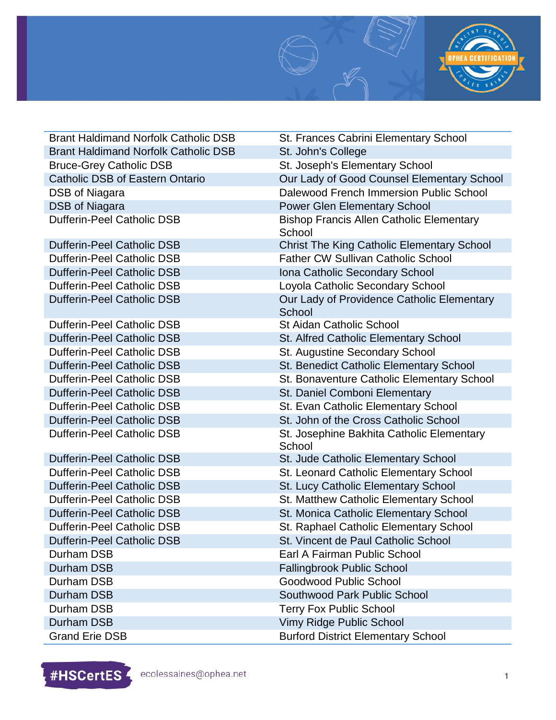

| <b>Brant Haldimand Norfolk Catholic DSB</b> | St. Frances Cabrini Elementary School                     |
|---------------------------------------------|-----------------------------------------------------------|
| <b>Brant Haldimand Norfolk Catholic DSB</b> | St. John's College                                        |
| <b>Bruce-Grey Catholic DSB</b>              | St. Joseph's Elementary School                            |
| <b>Catholic DSB of Eastern Ontario</b>      | Our Lady of Good Counsel Elementary School                |
| DSB of Niagara                              | Dalewood French Immersion Public School                   |
| <b>DSB of Niagara</b>                       | <b>Power Glen Elementary School</b>                       |
| <b>Dufferin-Peel Catholic DSB</b>           | <b>Bishop Francis Allen Catholic Elementary</b><br>School |
| <b>Dufferin-Peel Catholic DSB</b>           | <b>Christ The King Catholic Elementary School</b>         |
| <b>Dufferin-Peel Catholic DSB</b>           | <b>Father CW Sullivan Catholic School</b>                 |
| <b>Dufferin-Peel Catholic DSB</b>           | Iona Catholic Secondary School                            |
| <b>Dufferin-Peel Catholic DSB</b>           | Loyola Catholic Secondary School                          |
| <b>Dufferin-Peel Catholic DSB</b>           | Our Lady of Providence Catholic Elementary<br>School      |
| <b>Dufferin-Peel Catholic DSB</b>           | <b>St Aidan Catholic School</b>                           |
| <b>Dufferin-Peel Catholic DSB</b>           | St. Alfred Catholic Elementary School                     |
| <b>Dufferin-Peel Catholic DSB</b>           | St. Augustine Secondary School                            |
| <b>Dufferin-Peel Catholic DSB</b>           | St. Benedict Catholic Elementary School                   |
| <b>Dufferin-Peel Catholic DSB</b>           | St. Bonaventure Catholic Elementary School                |
| <b>Dufferin-Peel Catholic DSB</b>           | St. Daniel Comboni Elementary                             |
| <b>Dufferin-Peel Catholic DSB</b>           | St. Evan Catholic Elementary School                       |
| <b>Dufferin-Peel Catholic DSB</b>           | St. John of the Cross Catholic School                     |
| <b>Dufferin-Peel Catholic DSB</b>           | St. Josephine Bakhita Catholic Elementary<br>School       |
| <b>Dufferin-Peel Catholic DSB</b>           | St. Jude Catholic Elementary School                       |
| <b>Dufferin-Peel Catholic DSB</b>           | St. Leonard Catholic Elementary School                    |
| <b>Dufferin-Peel Catholic DSB</b>           | St. Lucy Catholic Elementary School                       |
| <b>Dufferin-Peel Catholic DSB</b>           | St. Matthew Catholic Elementary School                    |
| <b>Dufferin-Peel Catholic DSB</b>           | St. Monica Catholic Elementary School                     |
| <b>Dufferin-Peel Catholic DSB</b>           | St. Raphael Catholic Elementary School                    |
| <b>Dufferin-Peel Catholic DSB</b>           | St. Vincent de Paul Catholic School                       |
| Durham DSB                                  | Earl A Fairman Public School                              |
| <b>Durham DSB</b>                           | <b>Fallingbrook Public School</b>                         |
| Durham DSB                                  | Goodwood Public School                                    |
| Durham DSB                                  | Southwood Park Public School                              |
| Durham DSB                                  | <b>Terry Fox Public School</b>                            |
| <b>Durham DSB</b>                           | Vimy Ridge Public School                                  |
| <b>Grand Erie DSB</b>                       | <b>Burford District Elementary School</b>                 |

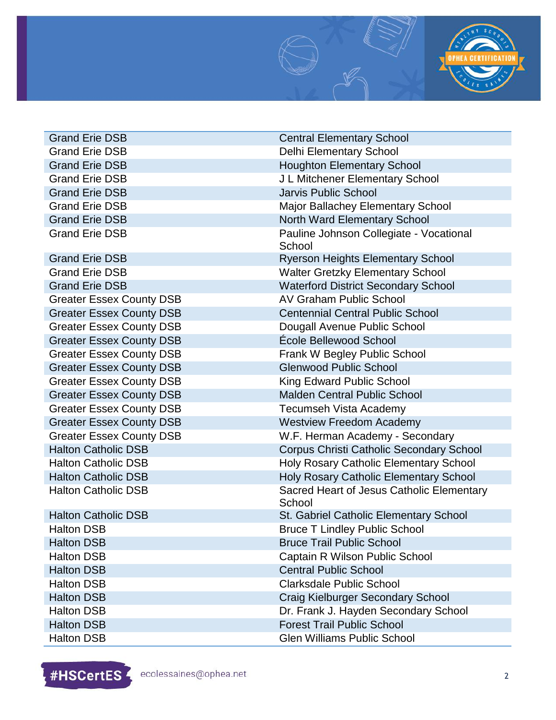

| <b>Grand Erie DSB</b>           | <b>Central Elementary School</b>                    |
|---------------------------------|-----------------------------------------------------|
| <b>Grand Erie DSB</b>           | <b>Delhi Elementary School</b>                      |
| <b>Grand Erie DSB</b>           | <b>Houghton Elementary School</b>                   |
| <b>Grand Erie DSB</b>           | J L Mitchener Elementary School                     |
| <b>Grand Erie DSB</b>           | <b>Jarvis Public School</b>                         |
| <b>Grand Erie DSB</b>           | Major Ballachey Elementary School                   |
| <b>Grand Erie DSB</b>           | North Ward Elementary School                        |
| <b>Grand Erie DSB</b>           | Pauline Johnson Collegiate - Vocational<br>School   |
| <b>Grand Erie DSB</b>           | <b>Ryerson Heights Elementary School</b>            |
| <b>Grand Erie DSB</b>           | <b>Walter Gretzky Elementary School</b>             |
| <b>Grand Erie DSB</b>           | <b>Waterford District Secondary School</b>          |
| <b>Greater Essex County DSB</b> | <b>AV Graham Public School</b>                      |
| <b>Greater Essex County DSB</b> | <b>Centennial Central Public School</b>             |
| <b>Greater Essex County DSB</b> | Dougall Avenue Public School                        |
| <b>Greater Essex County DSB</b> | École Bellewood School                              |
| <b>Greater Essex County DSB</b> | Frank W Begley Public School                        |
| <b>Greater Essex County DSB</b> | <b>Glenwood Public School</b>                       |
| <b>Greater Essex County DSB</b> | King Edward Public School                           |
| <b>Greater Essex County DSB</b> | <b>Malden Central Public School</b>                 |
| <b>Greater Essex County DSB</b> | <b>Tecumseh Vista Academy</b>                       |
| <b>Greater Essex County DSB</b> | <b>Westview Freedom Academy</b>                     |
| <b>Greater Essex County DSB</b> | W.F. Herman Academy - Secondary                     |
| <b>Halton Catholic DSB</b>      | <b>Corpus Christi Catholic Secondary School</b>     |
| <b>Halton Catholic DSB</b>      | Holy Rosary Catholic Elementary School              |
| <b>Halton Catholic DSB</b>      | Holy Rosary Catholic Elementary School              |
| <b>Halton Catholic DSB</b>      | Sacred Heart of Jesus Catholic Elementary<br>School |
| <b>Halton Catholic DSB</b>      | St. Gabriel Catholic Elementary School              |
| <b>Halton DSB</b>               | <b>Bruce T Lindley Public School</b>                |
| <b>Halton DSB</b>               | <b>Bruce Trail Public School</b>                    |
| <b>Halton DSB</b>               | <b>Captain R Wilson Public School</b>               |
| <b>Halton DSB</b>               | <b>Central Public School</b>                        |
| <b>Halton DSB</b>               | <b>Clarksdale Public School</b>                     |
| <b>Halton DSB</b>               | Craig Kielburger Secondary School                   |
| <b>Halton DSB</b>               | Dr. Frank J. Hayden Secondary School                |
| <b>Halton DSB</b>               | <b>Forest Trail Public School</b>                   |
| <b>Halton DSB</b>               | <b>Glen Williams Public School</b>                  |

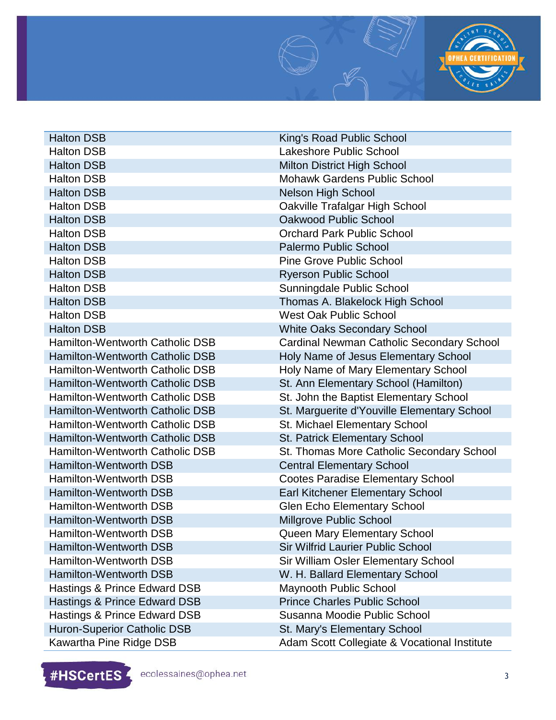

Halton DSB King's Road Public School Halton DSB Lakeshore Public School **Halton DSB** Milton District High School Halton DSB Mohawk Gardens Public School Halton DSB Nelson High School Halton DSB Oakville Trafalgar High School Halton DSB **Oakwood Public School** Halton DSB Orchard Park Public School Halton DSB Palermo Public School Halton DSB **Pine Grove Public School** Halton DSB Ryerson Public School Halton DSB Sunningdale Public School Halton DSB Thomas A. Blakelock High School Halton DSB West Oak Public School Halton DSB White Oaks Secondary School Hamilton-Wentworth Catholic DSB Cardinal Newman Catholic Secondary School Hamilton-Wentworth Catholic DSB Holy Name of Jesus Elementary School Hamilton-Wentworth Catholic DSB Holy Name of Mary Elementary School Hamilton-Wentworth Catholic DSB St. Ann Elementary School (Hamilton) Hamilton-Wentworth Catholic DSB St. John the Baptist Elementary School Hamilton-Wentworth Catholic DSB St. Marguerite d'Youville Elementary School Hamilton-Wentworth Catholic DSB St. Michael Elementary School Hamilton-Wentworth Catholic DSB St. Patrick Elementary School Hamilton-Wentworth Catholic DSB St. Thomas More Catholic Secondary School Hamilton-Wentworth DSB Central Elementary School Hamilton-Wentworth DSB Cootes Paradise Elementary School Hamilton-Wentworth DSB Earl Kitchener Elementary School Hamilton-Wentworth DSB Glen Echo Elementary School Hamilton-Wentworth DSB Millgrove Public School Hamilton-Wentworth DSB Queen Mary Elementary School Hamilton-Wentworth DSB Sir Wilfrid Laurier Public School Hamilton-Wentworth DSB Sir William Osler Elementary School Hamilton-Wentworth DSB W. H. Ballard Elementary School Hastings & Prince Edward DSB Maynooth Public School Hastings & Prince Edward DSB Prince Charles Public School Hastings & Prince Edward DSB Susanna Moodie Public School Huron-Superior Catholic DSB St. Mary's Elementary School Kawartha Pine Ridge DSB Adam Scott Collegiate & Vocational Institute

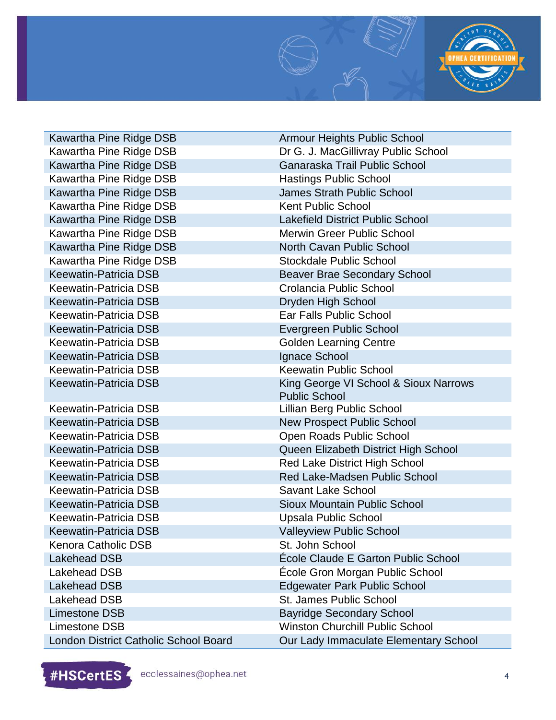

Kawartha Pine Ridge DSB **Hastings Public School** Kawartha Pine Ridge DSB Kent Public School Kawartha Pine Ridge DSB Stockdale Public School Keewatin-Patricia DSB Crolancia Public School Keewatin-Patricia DSB Dryden High School Keewatin-Patricia DSB Ear Falls Public School Keewatin-Patricia DSB Evergreen Public School Keewatin-Patricia DSB Golden Learning Centre Keewatin-Patricia DSB Ignace School Keewatin-Patricia DSB Keewatin Public School Keewatin-Patricia DSB Lillian Berg Public School Keewatin-Patricia DSB Savant Lake School Keewatin-Patricia DSB Upsala Public School Keewatin-Patricia DSB Valleyview Public School Kenora Catholic DSB St. John School Lakehead DSB St. James Public School

Kawartha Pine Ridge DSB Armour Heights Public School Kawartha Pine Ridge DSB **Dr G. J. MacGillivray Public School** Kawartha Pine Ridge DSB Ganaraska Trail Public School Kawartha Pine Ridge DSB James Strath Public School Kawartha Pine Ridge DSB Lakefield District Public School Kawartha Pine Ridge DSB Merwin Greer Public School Kawartha Pine Ridge DSB North Cavan Public School Keewatin-Patricia DSB Beaver Brae Secondary School Keewatin-Patricia DSB King George VI School & Sioux Narrows Public School Keewatin-Patricia DSB New Prospect Public School Keewatin-Patricia DSB **Communist Communist Communist Communist Communist Communist Communist Communist Communist Communist Communist Communist Communist Communist Communist Communist Communist Communist Communist Communist** Keewatin-Patricia DSB Queen Elizabeth District High School Keewatin-Patricia DSB Red Lake District High School Keewatin-Patricia DSB Red Lake-Madsen Public School Keewatin-Patricia DSB Sioux Mountain Public School Lakehead DSB École Claude E Garton Public School Lakehead DSB École Gron Morgan Public School Lakehead DSB Edgewater Park Public School Limestone DSB Bayridge Secondary School Limestone DSB Winston Churchill Public School London District Catholic School Board **Our Lady Immaculate Elementary School** 

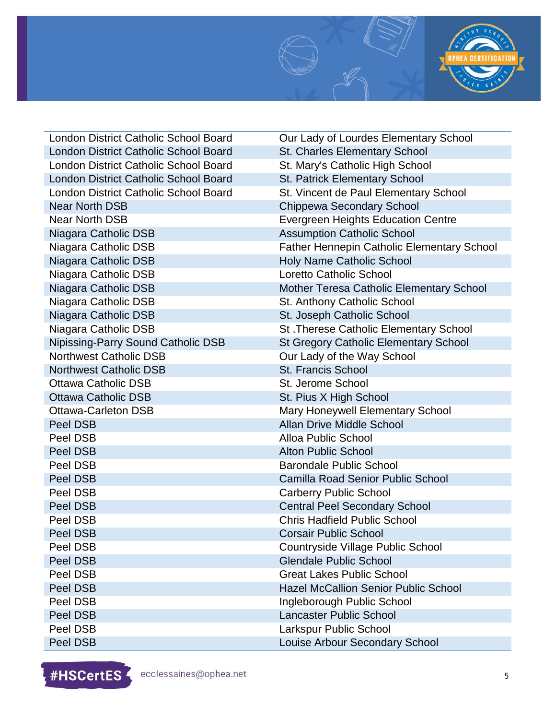

London District Catholic School Board **Our Lady of Lourdes Elementary School** London District Catholic School Board St. Charles Elementary School London District Catholic School Board St. Mary's Catholic High School London District Catholic School Board St. Patrick Elementary School London District Catholic School Board St. Vincent de Paul Elementary School Near North DSB Chippewa Secondary School Near North DSB Evergreen Heights Education Centre Niagara Catholic DSB Assumption Catholic School Niagara Catholic DSB Father Hennepin Catholic Elementary School Niagara Catholic DSB Holy Name Catholic School Niagara Catholic DSB Loretto Catholic School Niagara Catholic DSB Mother Teresa Catholic Elementary School Niagara Catholic DSB St. Anthony Catholic School Niagara Catholic DSB St. Joseph Catholic School Niagara Catholic DSB St. Therese Catholic Elementary School Nipissing-Parry Sound Catholic DSB St Gregory Catholic Elementary School Northwest Catholic DSB Curledy of the Way School Northwest Catholic DSB St. Francis School Ottawa Catholic DSB St. Jerome School Ottawa Catholic DSB St. Pius X High School Ottawa-Carleton DSB Mary Honeywell Elementary School **Peel DSB Allan Drive Middle School Allan Drive Middle School** Peel DSB Alloa Public School **Peel DSB Alton Public School Peel DSB** Barondale Public School Peel DSB Camilla Road Senior Public School **Peel DSB** Carberry Public School Peel DSB Central Peel Secondary School Peel DSB Chris Hadfield Public School **Peel DSB** Corsair Public School Peel DSB Countryside Village Public School **Peel DSB** Glendale Public School Peel DSB Great Lakes Public School Peel DSB **Hazel McCallion Senior Public School Peel DSB Ingleborough Public School Peel DSB Lancaster Public School** Peel DSB Larkspur Public School

**Peel DSB Louise Arbour Secondary School** 

#HSCertES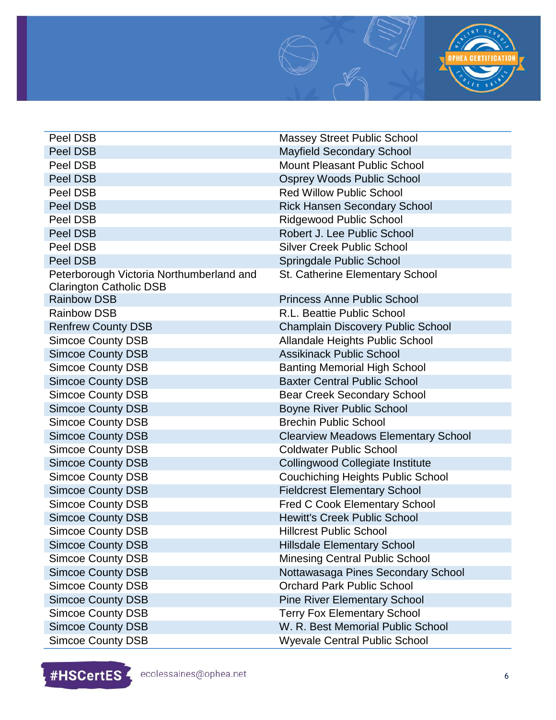

**Peel DSB** Massey Street Public School **Peel DSB** Mayfield Secondary School Peel DSB Mount Pleasant Public School **Peel DSB Osprey Woods Public School** Peel DSB **Red Willow Public School Peel DSB Rick Hansen Secondary School** Peel DSB Ridgewood Public School **Peel DSB** Robert J. Lee Public School Peel DSB Silver Creek Public School **Peel DSB** Springdale Public School **Springdale Public School** Peterborough Victoria Northumberland and Clarington Catholic DSB St. Catherine Elementary School Rainbow DSB Princess Anne Public School Rainbow DSB R.L. Beattie Public School Renfrew County DSB Champlain Discovery Public School Simcoe County DSB Allandale Heights Public School Simcoe County DSB Assikinack Public School Simcoe County DSB Banting Memorial High School Simcoe County DSB Baxter Central Public School Simcoe County DSB Bear Creek Secondary School Simcoe County DSB Boyne River Public School Simcoe County DSB Brechin Public School Simcoe County DSB Clearview Meadows Elementary School Simcoe County DSB Coldwater Public School Simcoe County DSB Collingwood Collegiate Institute Simcoe County DSB Couchiching Heights Public School Simcoe County DSB Fieldcrest Elementary School Simcoe County DSB **Fred C Cook Elementary School** Simcoe County DSB Hewitt's Creek Public School Simcoe County DSB **Hillcrest Public School** Simcoe County DSB Hillsdale Elementary School Simcoe County DSB Minesing Central Public School Simcoe County DSB Nottawasaga Pines Secondary School Simcoe County DSB Orchard Park Public School Simcoe County DSB Pine River Elementary School Simcoe County DSB Terry Fox Elementary School Simcoe County DSB W. R. Best Memorial Public School

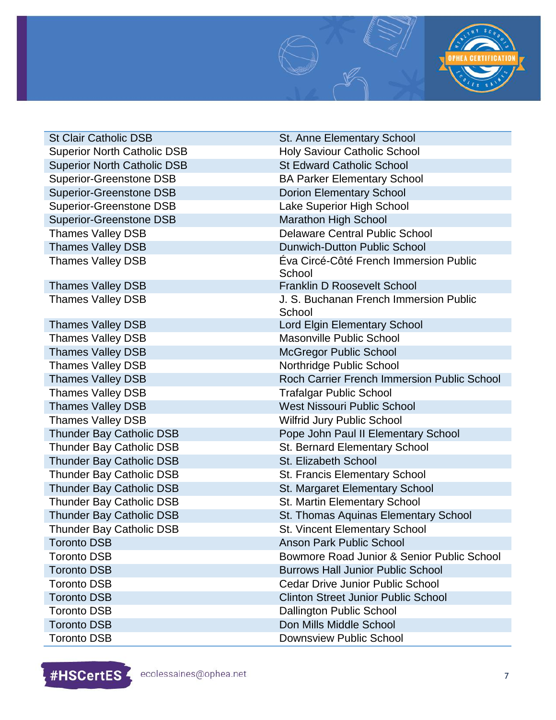

| <b>St Clair Catholic DSB</b>       | <b>St. Anne Elementary School</b>                |
|------------------------------------|--------------------------------------------------|
| <b>Superior North Catholic DSB</b> | <b>Holy Saviour Catholic School</b>              |
| <b>Superior North Catholic DSB</b> | <b>St Edward Catholic School</b>                 |
| <b>Superior-Greenstone DSB</b>     | <b>BA Parker Elementary School</b>               |
| <b>Superior-Greenstone DSB</b>     | <b>Dorion Elementary School</b>                  |
| <b>Superior-Greenstone DSB</b>     | Lake Superior High School                        |
| <b>Superior-Greenstone DSB</b>     | Marathon High School                             |
| <b>Thames Valley DSB</b>           | <b>Delaware Central Public School</b>            |
| <b>Thames Valley DSB</b>           | <b>Dunwich-Dutton Public School</b>              |
| <b>Thames Valley DSB</b>           | Eva Circé-Côté French Immersion Public<br>School |
| <b>Thames Valley DSB</b>           | <b>Franklin D Roosevelt School</b>               |
| <b>Thames Valley DSB</b>           | J. S. Buchanan French Immersion Public<br>School |
| <b>Thames Valley DSB</b>           | <b>Lord Elgin Elementary School</b>              |
| <b>Thames Valley DSB</b>           | <b>Masonville Public School</b>                  |
| <b>Thames Valley DSB</b>           | <b>McGregor Public School</b>                    |
| <b>Thames Valley DSB</b>           | Northridge Public School                         |
| <b>Thames Valley DSB</b>           | Roch Carrier French Immersion Public School      |
| <b>Thames Valley DSB</b>           | <b>Trafalgar Public School</b>                   |
| <b>Thames Valley DSB</b>           | <b>West Nissouri Public School</b>               |
| <b>Thames Valley DSB</b>           | <b>Wilfrid Jury Public School</b>                |
| <b>Thunder Bay Catholic DSB</b>    | Pope John Paul II Elementary School              |
| <b>Thunder Bay Catholic DSB</b>    | St. Bernard Elementary School                    |
| <b>Thunder Bay Catholic DSB</b>    | St. Elizabeth School                             |
| Thunder Bay Catholic DSB           | St. Francis Elementary School                    |
| <b>Thunder Bay Catholic DSB</b>    | St. Margaret Elementary School                   |
| Thunder Bay Catholic DSB           | St. Martin Elementary School                     |
| <b>Thunder Bay Catholic DSB</b>    | St. Thomas Aquinas Elementary School             |
| <b>Thunder Bay Catholic DSB</b>    | St. Vincent Elementary School                    |
| Toronto DSB                        | <b>Anson Park Public School</b>                  |
| <b>Toronto DSB</b>                 | Bowmore Road Junior & Senior Public School       |
| <b>Toronto DSB</b>                 | <b>Burrows Hall Junior Public School</b>         |
| <b>Toronto DSB</b>                 | <b>Cedar Drive Junior Public School</b>          |
| <b>Toronto DSB</b>                 | <b>Clinton Street Junior Public School</b>       |
| <b>Toronto DSB</b>                 | <b>Dallington Public School</b>                  |
| <b>Toronto DSB</b>                 | Don Mills Middle School                          |
| <b>Toronto DSB</b>                 | <b>Downsview Public School</b>                   |

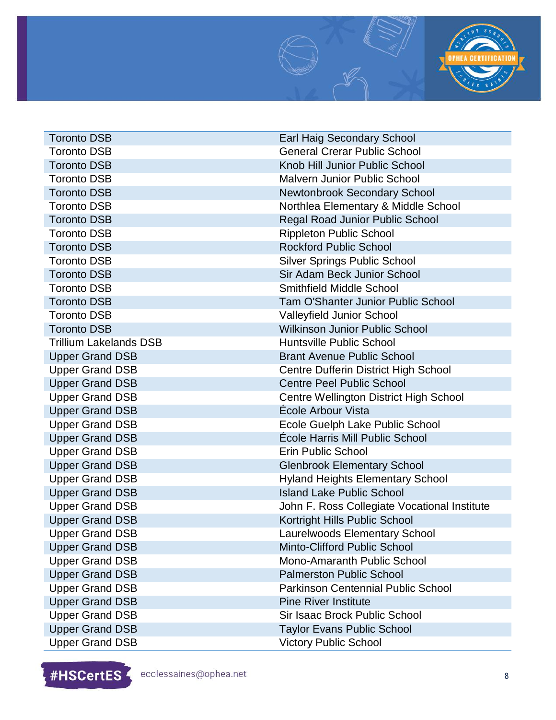

**Toronto DSB Earl Haig Secondary School** Toronto DSB General Crerar Public School Toronto DSB Knob Hill Junior Public School Toronto DSB Malvern Junior Public School **Toronto DSB** Newtonbrook Secondary School Toronto DSB Northlea Elementary & Middle School Toronto DSB Regal Road Junior Public School Toronto DSB and Rippleton Public School and Rippleton Public School **Toronto DSB Rockford Public School** Toronto DSB Silver Springs Public School **Toronto DSB** Sir Adam Beck Junior School Toronto DSB Smithfield Middle School Toronto DSB Tam O'Shanter Junior Public School Toronto DSB Valleyfield Junior School Toronto DSB Wilkinson Junior Public School Trillium Lakelands DSB **Huntsville Public School** Upper Grand DSB Brant Avenue Public School Upper Grand DSB Centre Dufferin District High School Upper Grand DSB Centre Peel Public School Upper Grand DSB Centre Wellington District High School Upper Grand DSB École Arbour Vista Upper Grand DSB Ecole Guelph Lake Public School Upper Grand DSB École Harris Mill Public School Upper Grand DSB Erin Public School Upper Grand DSB Glenbrook Elementary School Upper Grand DSB **Hyland Heights Elementary School** Upper Grand DSB **Island Lake Public School** Upper Grand DSB John F. Ross Collegiate Vocational Institute Upper Grand DSB Kortright Hills Public School Upper Grand DSB Laurelwoods Elementary School Upper Grand DSB Minto-Clifford Public School Upper Grand DSB Mono-Amaranth Public School Upper Grand DSB Palmerston Public School Upper Grand DSB **Parkinson Centennial Public School** Upper Grand DSB Pine River Institute Upper Grand DSB Sir Isaac Brock Public School Upper Grand DSB Taylor Evans Public School Upper Grand DSB Victory Public School

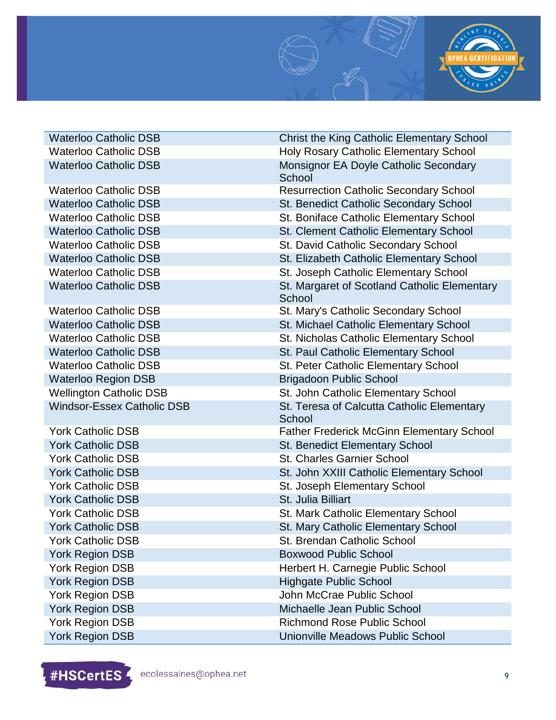

| <b>Waterloo Catholic DSB</b>      | <b>Christ the King Catholic Elementary School</b>      |
|-----------------------------------|--------------------------------------------------------|
| <b>Waterloo Catholic DSB</b>      | <b>Holy Rosary Catholic Elementary School</b>          |
| <b>Waterloo Catholic DSB</b>      | Monsignor EA Doyle Catholic Secondary<br>School        |
| <b>Waterloo Catholic DSB</b>      | <b>Resurrection Catholic Secondary School</b>          |
| <b>Waterloo Catholic DSB</b>      | <b>St. Benedict Catholic Secondary School</b>          |
| <b>Waterloo Catholic DSB</b>      | St. Boniface Catholic Elementary School                |
| <b>Waterloo Catholic DSB</b>      | St. Clement Catholic Elementary School                 |
| <b>Waterloo Catholic DSB</b>      | St. David Catholic Secondary School                    |
| <b>Waterloo Catholic DSB</b>      | St. Elizabeth Catholic Elementary School               |
| <b>Waterloo Catholic DSB</b>      | St. Joseph Catholic Elementary School                  |
| <b>Waterloo Catholic DSB</b>      | St. Margaret of Scotland Catholic Elementary<br>School |
| <b>Waterloo Catholic DSB</b>      | St. Mary's Catholic Secondary School                   |
| <b>Waterloo Catholic DSB</b>      | St. Michael Catholic Elementary School                 |
| <b>Waterloo Catholic DSB</b>      | St. Nicholas Catholic Elementary School                |
| <b>Waterloo Catholic DSB</b>      | St. Paul Catholic Elementary School                    |
| <b>Waterloo Catholic DSB</b>      | St. Peter Catholic Elementary School                   |
| <b>Waterloo Region DSB</b>        | <b>Brigadoon Public School</b>                         |
| <b>Wellington Catholic DSB</b>    | St. John Catholic Elementary School                    |
| <b>Windsor-Essex Catholic DSB</b> | St. Teresa of Calcutta Catholic Elementary<br>School   |
| <b>York Catholic DSB</b>          | <b>Father Frederick McGinn Elementary School</b>       |
| <b>York Catholic DSB</b>          | <b>St. Benedict Elementary School</b>                  |
| <b>York Catholic DSB</b>          | <b>St. Charles Garnier School</b>                      |
| <b>York Catholic DSB</b>          | St. John XXIII Catholic Elementary School              |
| <b>York Catholic DSB</b>          | St. Joseph Elementary School                           |
| <b>York Catholic DSB</b>          | St. Julia Billiart                                     |
| <b>York Catholic DSB</b>          | St. Mark Catholic Elementary School                    |
| <b>York Catholic DSB</b>          | St. Mary Catholic Elementary School                    |
| York Catholic DSB                 | St. Brendan Catholic School                            |
| York Region DSB                   | <b>Boxwood Public School</b>                           |
| York Region DSB                   | Herbert H. Carnegie Public School                      |
| <b>York Region DSB</b>            | <b>Highgate Public School</b>                          |
| York Region DSB                   | John McCrae Public School                              |
| <b>York Region DSB</b>            | Michaelle Jean Public School                           |
| York Region DSB                   | <b>Richmond Rose Public School</b>                     |
| <b>York Region DSB</b>            | Unionville Meadows Public School                       |